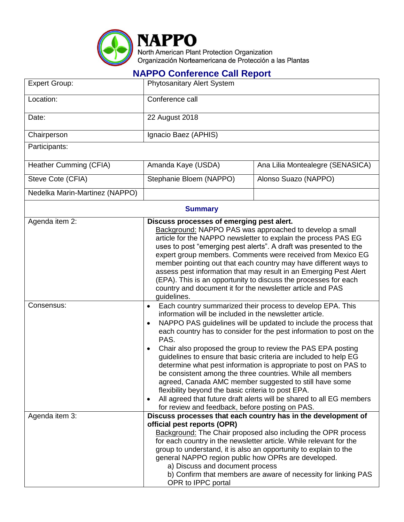

## **NAPPO Conference Call Report**

| <b>Expert Group:</b>           | <b>Phytosanitary Alert System</b>                                                                                                                                                                                                                                                                                                                                                                                                                                                                                                                                                                                                                                                                                                                                                                                        |                                                                                                                                                                                                                                                                                                                                                   |  |  |  |
|--------------------------------|--------------------------------------------------------------------------------------------------------------------------------------------------------------------------------------------------------------------------------------------------------------------------------------------------------------------------------------------------------------------------------------------------------------------------------------------------------------------------------------------------------------------------------------------------------------------------------------------------------------------------------------------------------------------------------------------------------------------------------------------------------------------------------------------------------------------------|---------------------------------------------------------------------------------------------------------------------------------------------------------------------------------------------------------------------------------------------------------------------------------------------------------------------------------------------------|--|--|--|
| Location:                      | Conference call                                                                                                                                                                                                                                                                                                                                                                                                                                                                                                                                                                                                                                                                                                                                                                                                          |                                                                                                                                                                                                                                                                                                                                                   |  |  |  |
| Date:                          | 22 August 2018                                                                                                                                                                                                                                                                                                                                                                                                                                                                                                                                                                                                                                                                                                                                                                                                           |                                                                                                                                                                                                                                                                                                                                                   |  |  |  |
| Chairperson                    | Ignacio Baez (APHIS)                                                                                                                                                                                                                                                                                                                                                                                                                                                                                                                                                                                                                                                                                                                                                                                                     |                                                                                                                                                                                                                                                                                                                                                   |  |  |  |
| Participants:                  |                                                                                                                                                                                                                                                                                                                                                                                                                                                                                                                                                                                                                                                                                                                                                                                                                          |                                                                                                                                                                                                                                                                                                                                                   |  |  |  |
| Heather Cumming (CFIA)         | Amanda Kaye (USDA)                                                                                                                                                                                                                                                                                                                                                                                                                                                                                                                                                                                                                                                                                                                                                                                                       | Ana Lilia Montealegre (SENASICA)                                                                                                                                                                                                                                                                                                                  |  |  |  |
| Steve Cote (CFIA)              | Stephanie Bloem (NAPPO)                                                                                                                                                                                                                                                                                                                                                                                                                                                                                                                                                                                                                                                                                                                                                                                                  | Alonso Suazo (NAPPO)                                                                                                                                                                                                                                                                                                                              |  |  |  |
| Nedelka Marin-Martinez (NAPPO) |                                                                                                                                                                                                                                                                                                                                                                                                                                                                                                                                                                                                                                                                                                                                                                                                                          |                                                                                                                                                                                                                                                                                                                                                   |  |  |  |
| <b>Summary</b>                 |                                                                                                                                                                                                                                                                                                                                                                                                                                                                                                                                                                                                                                                                                                                                                                                                                          |                                                                                                                                                                                                                                                                                                                                                   |  |  |  |
| Agenda item 2:                 | Discuss processes of emerging pest alert.<br>Background: NAPPO PAS was approached to develop a small<br>article for the NAPPO newsletter to explain the process PAS EG<br>uses to post "emerging pest alerts". A draft was presented to the<br>expert group members. Comments were received from Mexico EG<br>member pointing out that each country may have different ways to<br>assess pest information that may result in an Emerging Pest Alert<br>(EPA). This is an opportunity to discuss the processes for each<br>country and document it for the newsletter article and PAS<br>guidelines.                                                                                                                                                                                                                      |                                                                                                                                                                                                                                                                                                                                                   |  |  |  |
| Consensus:                     | Each country summarized their process to develop EPA. This<br>$\bullet$<br>information will be included in the newsletter article.<br>NAPPO PAS guidelines will be updated to include the process that<br>$\bullet$<br>each country has to consider for the pest information to post on the<br>PAS.<br>Chair also proposed the group to review the PAS EPA posting<br>٠<br>guidelines to ensure that basic criteria are included to help EG<br>determine what pest information is appropriate to post on PAS to<br>be consistent among the three countries. While all members<br>agreed, Canada AMC member suggested to still have some<br>flexibility beyond the basic criteria to post EPA.<br>All agreed that future draft alerts will be shared to all EG members<br>for review and feedback, before posting on PAS. |                                                                                                                                                                                                                                                                                                                                                   |  |  |  |
| Agenda item 3:                 | official pest reports (OPR)<br>general NAPPO region public how OPRs are developed.<br>a) Discuss and document process<br>OPR to IPPC portal                                                                                                                                                                                                                                                                                                                                                                                                                                                                                                                                                                                                                                                                              | Discuss processes that each country has in the development of<br><b>Background:</b> The Chair proposed also including the OPR process<br>for each country in the newsletter article. While relevant for the<br>group to understand, it is also an opportunity to explain to the<br>b) Confirm that members are aware of necessity for linking PAS |  |  |  |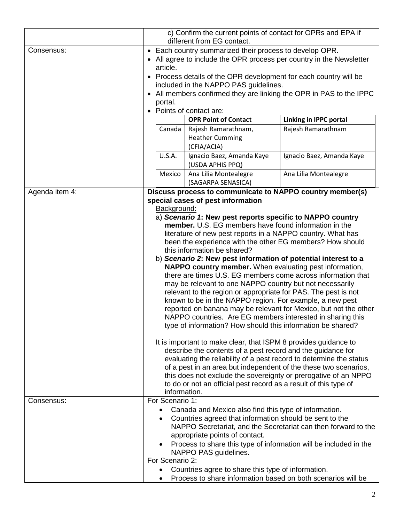|                              |                                                                                                                                                                                                                                                                                                                                                                                                                                                                                                                                                                                                                                                                                                                                                                                                                                                                                                                                                                                                                                                                                                                                                                                                                                                                                                                                                                                                                                                                     | c) Confirm the current points of contact for OPRs and EPA if<br>different from EG contact.                                                                                                                                                                                                                                                                             |                                                                |
|------------------------------|---------------------------------------------------------------------------------------------------------------------------------------------------------------------------------------------------------------------------------------------------------------------------------------------------------------------------------------------------------------------------------------------------------------------------------------------------------------------------------------------------------------------------------------------------------------------------------------------------------------------------------------------------------------------------------------------------------------------------------------------------------------------------------------------------------------------------------------------------------------------------------------------------------------------------------------------------------------------------------------------------------------------------------------------------------------------------------------------------------------------------------------------------------------------------------------------------------------------------------------------------------------------------------------------------------------------------------------------------------------------------------------------------------------------------------------------------------------------|------------------------------------------------------------------------------------------------------------------------------------------------------------------------------------------------------------------------------------------------------------------------------------------------------------------------------------------------------------------------|----------------------------------------------------------------|
| Consensus:                   | • Each country summarized their process to develop OPR.<br>• All agree to include the OPR process per country in the Newsletter<br>article.<br>• Process details of the OPR development for each country will be<br>included in the NAPPO PAS guidelines.<br>• All members confirmed they are linking the OPR in PAS to the IPPC<br>portal.<br>• Points of contact are:                                                                                                                                                                                                                                                                                                                                                                                                                                                                                                                                                                                                                                                                                                                                                                                                                                                                                                                                                                                                                                                                                             |                                                                                                                                                                                                                                                                                                                                                                        |                                                                |
|                              |                                                                                                                                                                                                                                                                                                                                                                                                                                                                                                                                                                                                                                                                                                                                                                                                                                                                                                                                                                                                                                                                                                                                                                                                                                                                                                                                                                                                                                                                     | <b>OPR Point of Contact</b>                                                                                                                                                                                                                                                                                                                                            | Linking in IPPC portal                                         |
|                              | Canada                                                                                                                                                                                                                                                                                                                                                                                                                                                                                                                                                                                                                                                                                                                                                                                                                                                                                                                                                                                                                                                                                                                                                                                                                                                                                                                                                                                                                                                              | Rajesh Ramarathnam,<br><b>Heather Cumming</b><br>(CFIA/ACIA)                                                                                                                                                                                                                                                                                                           | Rajesh Ramarathnam                                             |
|                              | <b>U.S.A.</b>                                                                                                                                                                                                                                                                                                                                                                                                                                                                                                                                                                                                                                                                                                                                                                                                                                                                                                                                                                                                                                                                                                                                                                                                                                                                                                                                                                                                                                                       | Ignacio Baez, Amanda Kaye<br>(USDA APHIS PPQ)                                                                                                                                                                                                                                                                                                                          | Ignacio Baez, Amanda Kaye                                      |
|                              | Mexico                                                                                                                                                                                                                                                                                                                                                                                                                                                                                                                                                                                                                                                                                                                                                                                                                                                                                                                                                                                                                                                                                                                                                                                                                                                                                                                                                                                                                                                              | Ana Lilia Montealegre                                                                                                                                                                                                                                                                                                                                                  | Ana Lilia Montealegre                                          |
| Agenda item 4:<br>Consensus: | (SAGARPA SENASICA)<br>Discuss process to communicate to NAPPO country member(s)<br>special cases of pest information<br>Background:<br>a) Scenario 1: New pest reports specific to NAPPO country<br>member. U.S. EG members have found information in the<br>literature of new pest reports in a NAPPO country. What has<br>been the experience with the other EG members? How should<br>this information be shared?<br>b) Scenario 2: New pest information of potential interest to a<br>NAPPO country member. When evaluating pest information,<br>there are times U.S. EG members come across information that<br>may be relevant to one NAPPO country but not necessarily<br>relevant to the region or appropriate for PAS. The pest is not<br>known to be in the NAPPO region. For example, a new pest<br>reported on banana may be relevant for Mexico, but not the other<br>NAPPO countries. Are EG members interested in sharing this<br>type of information? How should this information be shared?<br>It is important to make clear, that ISPM 8 provides guidance to<br>describe the contents of a pest record and the guidance for<br>evaluating the reliability of a pest record to determine the status<br>of a pest in an area but independent of the these two scenarios,<br>this does not exclude the sovereignty or prerogative of an NPPO<br>to do or not an official pest record as a result of this type of<br>information.<br>For Scenario 1: |                                                                                                                                                                                                                                                                                                                                                                        |                                                                |
|                              | ٠<br>$\bullet$<br>For Scenario 2:                                                                                                                                                                                                                                                                                                                                                                                                                                                                                                                                                                                                                                                                                                                                                                                                                                                                                                                                                                                                                                                                                                                                                                                                                                                                                                                                                                                                                                   | Canada and Mexico also find this type of information.<br>Countries agreed that information should be sent to the<br>appropriate points of contact.<br>Process to share this type of information will be included in the<br>NAPPO PAS guidelines.<br>Countries agree to share this type of information.<br>Process to share information based on both scenarios will be | NAPPO Secretariat, and the Secretariat can then forward to the |